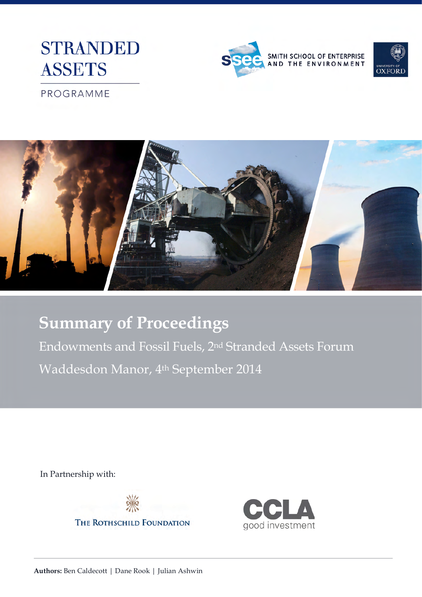





PROGRAMME



# **Summary of Proceedings**

Endowments and Fossil Fuels, 2nd Stranded Assets Forum Waddesdon Manor, 4th September 2014

In Partnership with:



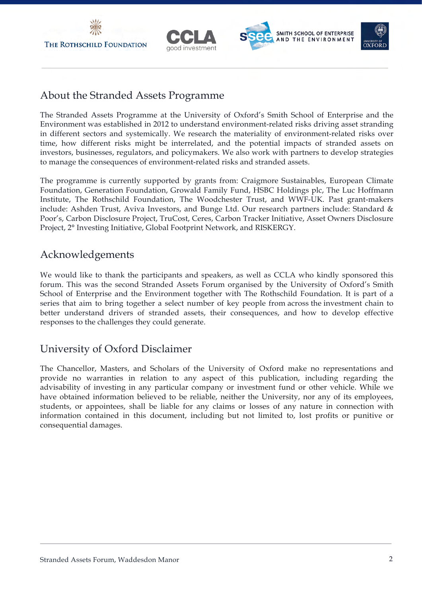





## About the Stranded Assets Programme

The Stranded Assets Programme at the University of Oxford's Smith School of Enterprise and the Environment was established in 2012 to understand environment-related risks driving asset stranding in different sectors and systemically. We research the materiality of environment-related risks over time, how different risks might be interrelated, and the potential impacts of stranded assets on investors, businesses, regulators, and policymakers. We also work with partners to develop strategies to manage the consequences of environment-related risks and stranded assets.

The programme is currently supported by grants from: Craigmore Sustainables, European Climate Foundation, Generation Foundation, Growald Family Fund, HSBC Holdings plc, The Luc Hoffmann Institute, The Rothschild Foundation, The Woodchester Trust, and WWF-UK. Past grant-makers include: Ashden Trust, Aviva Investors, and Bunge Ltd. Our research partners include: Standard & Poor's, Carbon Disclosure Project, TruCost, Ceres, Carbon Tracker Initiative, Asset Owners Disclosure Project, 2° Investing Initiative, Global Footprint Network, and RISKERGY.

## Acknowledgements

We would like to thank the participants and speakers, as well as CCLA who kindly sponsored this forum. This was the second Stranded Assets Forum organised by the University of Oxford's Smith School of Enterprise and the Environment together with The Rothschild Foundation. It is part of a series that aim to bring together a select number of key people from across the investment chain to better understand drivers of stranded assets, their consequences, and how to develop effective responses to the challenges they could generate.

# University of Oxford Disclaimer

The Chancellor, Masters, and Scholars of the University of Oxford make no representations and provide no warranties in relation to any aspect of this publication, including regarding the advisability of investing in any particular company or investment fund or other vehicle. While we have obtained information believed to be reliable, neither the University, nor any of its employees, students, or appointees, shall be liable for any claims or losses of any nature in connection with information contained in this document, including but not limited to, lost profits or punitive or consequential damages.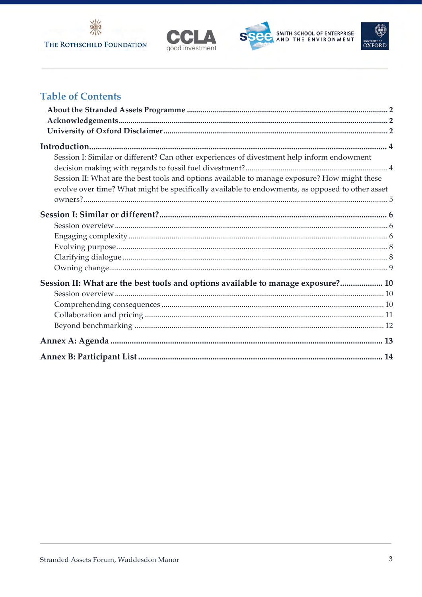







# **Table of Contents**

| Session I: Similar or different? Can other experiences of divestment help inform endowment      |  |
|-------------------------------------------------------------------------------------------------|--|
|                                                                                                 |  |
| Session II: What are the best tools and options available to manage exposure? How might these   |  |
| evolve over time? What might be specifically available to endowments, as opposed to other asset |  |
|                                                                                                 |  |
|                                                                                                 |  |
|                                                                                                 |  |
|                                                                                                 |  |
|                                                                                                 |  |
|                                                                                                 |  |
|                                                                                                 |  |
| Session II: What are the best tools and options available to manage exposure? 10                |  |
|                                                                                                 |  |
|                                                                                                 |  |
|                                                                                                 |  |
|                                                                                                 |  |
|                                                                                                 |  |
|                                                                                                 |  |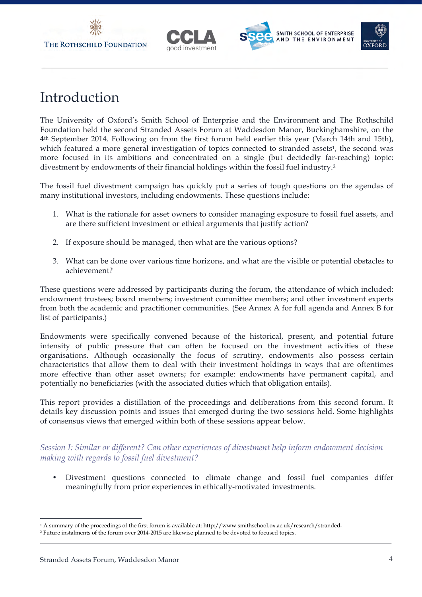





# Introduction

The University of Oxford's Smith School of Enterprise and the Environment and The Rothschild Foundation held the second Stranded Assets Forum at Waddesdon Manor, Buckinghamshire, on the 4th September 2014. Following on from the first forum held earlier this year (March 14th and 15th), which featured a more general investigation of topics connected to stranded assets<sup>1</sup>, the second was more focused in its ambitions and concentrated on a single (but decidedly far-reaching) topic: divestment by endowments of their financial holdings within the fossil fuel industry.2

The fossil fuel divestment campaign has quickly put a series of tough questions on the agendas of many institutional investors, including endowments. These questions include:

- 1. What is the rationale for asset owners to consider managing exposure to fossil fuel assets, and are there sufficient investment or ethical arguments that justify action?
- 2. If exposure should be managed, then what are the various options?
- 3. What can be done over various time horizons, and what are the visible or potential obstacles to achievement?

These questions were addressed by participants during the forum, the attendance of which included: endowment trustees; board members; investment committee members; and other investment experts from both the academic and practitioner communities. (See Annex A for full agenda and Annex B for list of participants.)

Endowments were specifically convened because of the historical, present, and potential future intensity of public pressure that can often be focused on the investment activities of these organisations. Although occasionally the focus of scrutiny, endowments also possess certain characteristics that allow them to deal with their investment holdings in ways that are oftentimes more effective than other asset owners; for example: endowments have permanent capital, and potentially no beneficiaries (with the associated duties which that obligation entails).

This report provides a distillation of the proceedings and deliberations from this second forum. It details key discussion points and issues that emerged during the two sessions held. Some highlights of consensus views that emerged within both of these sessions appear below.

*Session I: Similar or different? Can other experiences of divestment help inform endowment decision making with regards to fossil fuel divestment?*

Divestment questions connected to climate change and fossil fuel companies differ meaningfully from prior experiences in ethically-motivated investments.

<sup>-</sup><sup>1</sup> A summary of the proceedings of the first forum is available at: http://www.smithschool.ox.ac.uk/research/stranded-

<sup>2</sup> Future instalments of the forum over 2014-2015 are likewise planned to be devoted to focused topics.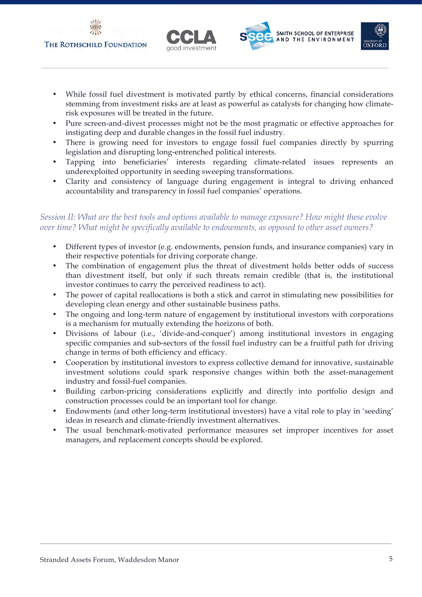





- While fossil fuel divestment is motivated partly by ethical concerns, financial considerations stemming from investment risks are at least as powerful as catalysts for changing how climaterisk exposures will be treated in the future.
- Pure screen-and-divest processes might not be the most pragmatic or effective approaches for instigating deep and durable changes in the fossil fuel industry.
- There is growing need for investors to engage fossil fuel companies directly by spurring legislation and disrupting long-entrenched political interests.
- Tapping into beneficiaries' interests regarding climate-related issues represents an underexploited opportunity in seeding sweeping transformations.
- Clarity and consistency of language during engagement is integral to driving enhanced accountability and transparency in fossil fuel companies' operations.

### *Session II: What are the best tools and options available to manage exposure? How might these evolve over time? What might be specifically available to endowments, as opposed to other asset owners?*

- Different types of investor (e.g. endowments, pension funds, and insurance companies) vary in their respective potentials for driving corporate change.
- The combination of engagement plus the threat of divestment holds better odds of success than divestment itself, but only if such threats remain credible (that is, the institutional investor continues to carry the perceived readiness to act).
- The power of capital reallocations is both a stick and carrot in stimulating new possibilities for developing clean energy and other sustainable business paths.
- The ongoing and long-term nature of engagement by institutional investors with corporations is a mechanism for mutually extending the horizons of both.
- Divisions of labour (i.e., 'divide-and-conquer') among institutional investors in engaging specific companies and sub-sectors of the fossil fuel industry can be a fruitful path for driving change in terms of both efficiency and efficacy.
- Cooperation by institutional investors to express collective demand for innovative, sustainable investment solutions could spark responsive changes within both the asset-management industry and fossil-fuel companies.
- Building carbon-pricing considerations explicitly and directly into portfolio design and construction processes could be an important tool for change.
- Endowments (and other long-term institutional investors) have a vital role to play in 'seeding' ideas in research and climate-friendly investment alternatives.
- The usual benchmark-motivated performance measures set improper incentives for asset managers, and replacement concepts should be explored.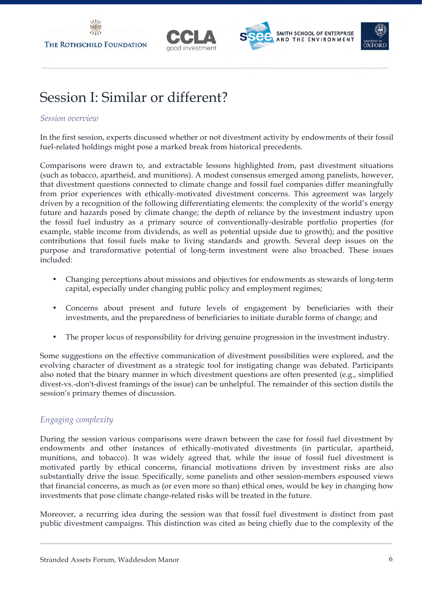



# Session I: Similar or different?

#### *Session overview*

In the first session, experts discussed whether or not divestment activity by endowments of their fossil fuel-related holdings might pose a marked break from historical precedents.

Comparisons were drawn to, and extractable lessons highlighted from, past divestment situations (such as tobacco, apartheid, and munitions). A modest consensus emerged among panelists, however, that divestment questions connected to climate change and fossil fuel companies differ meaningfully from prior experiences with ethically-motivated divestment concerns. This agreement was largely driven by a recognition of the following differentiating elements: the complexity of the world's energy future and hazards posed by climate change; the depth of reliance by the investment industry upon the fossil fuel industry as a primary source of conventionally-desirable portfolio properties (for example, stable income from dividends, as well as potential upside due to growth); and the positive contributions that fossil fuels make to living standards and growth. Several deep issues on the purpose and transformative potential of long-term investment were also broached. These issues included:

- Changing perceptions about missions and objectives for endowments as stewards of long-term capital, especially under changing public policy and employment regimes;
- Concerns about present and future levels of engagement by beneficiaries with their investments, and the preparedness of beneficiaries to initiate durable forms of change; and
- The proper locus of responsibility for driving genuine progression in the investment industry.

Some suggestions on the effective communication of divestment possibilities were explored, and the evolving character of divestment as a strategic tool for instigating change was debated. Participants also noted that the binary manner in which divestment questions are often presented (e.g., simplified divest-vs.-don't-divest framings of the issue) can be unhelpful. The remainder of this section distils the session's primary themes of discussion.

## *Engaging complexity*

During the session various comparisons were drawn between the case for fossil fuel divestment by endowments and other instances of ethically-motivated divestments (in particular, apartheid, munitions, and tobacco). It was widely agreed that, while the issue of fossil fuel divestment is motivated partly by ethical concerns, financial motivations driven by investment risks are also substantially drive the issue. Specifically, some panelists and other session-members espoused views that financial concerns, as much as (or even more so than) ethical ones, would be key in changing how investments that pose climate change-related risks will be treated in the future.

Moreover, a recurring idea during the session was that fossil fuel divestment is distinct from past public divestment campaigns. This distinction was cited as being chiefly due to the complexity of the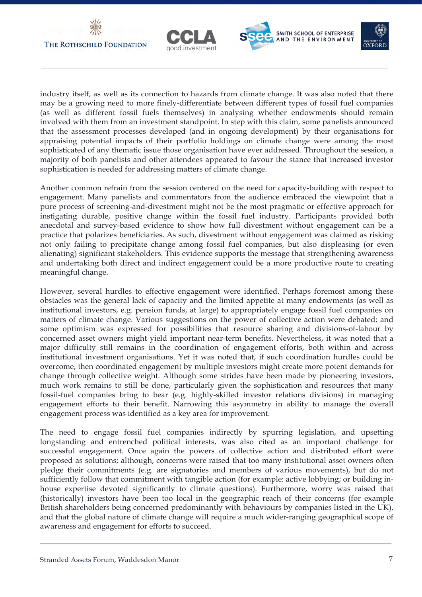





industry itself, as well as its connection to hazards from climate change. It was also noted that there may be a growing need to more finely-differentiate between different types of fossil fuel companies (as well as different fossil fuels themselves) in analysing whether endowments should remain involved with them from an investment standpoint. In step with this claim, some panelists announced that the assessment processes developed (and in ongoing development) by their organisations for appraising potential impacts of their portfolio holdings on climate change were among the most sophisticated of any thematic issue those organisation have ever addressed. Throughout the session, a majority of both panelists and other attendees appeared to favour the stance that increased investor sophistication is needed for addressing matters of climate change.

Another common refrain from the session centered on the need for capacity-building with respect to engagement. Many panelists and commentators from the audience embraced the viewpoint that a pure process of screening-and-divestment might not be the most pragmatic or effective approach for instigating durable, positive change within the fossil fuel industry. Participants provided both anecdotal and survey-based evidence to show how full divestment without engagement can be a practice that polarizes beneficiaries. As such, divestment without engagement was claimed as risking not only failing to precipitate change among fossil fuel companies, but also displeasing (or even alienating) significant stakeholders. This evidence supports the message that strengthening awareness and undertaking both direct and indirect engagement could be a more productive route to creating meaningful change.

However, several hurdles to effective engagement were identified. Perhaps foremost among these obstacles was the general lack of capacity and the limited appetite at many endowments (as well as institutional investors, e.g. pension funds, at large) to appropriately engage fossil fuel companies on matters of climate change. Various suggestions on the power of collective action were debated; and some optimism was expressed for possibilities that resource sharing and divisions-of-labour by concerned asset owners might yield important near-term benefits. Nevertheless, it was noted that a major difficulty still remains in the coordination of engagement efforts, both within and across institutional investment organisations. Yet it was noted that, if such coordination hurdles could be overcome, then coordinated engagement by multiple investors might create more potent demands for change through collective weight. Although some strides have been made by pioneering investors, much work remains to still be done, particularly given the sophistication and resources that many fossil-fuel companies bring to bear (e.g. highly-skilled investor relations divisions) in managing engagement efforts to their benefit. Narrowing this asymmetry in ability to manage the overall engagement process was identified as a key area for improvement.

The need to engage fossil fuel companies indirectly by spurring legislation, and upsetting longstanding and entrenched political interests, was also cited as an important challenge for successful engagement. Once again the powers of collective action and distributed effort were proposed as solutions; although, concerns were raised that too many institutional asset owners often pledge their commitments (e.g. are signatories and members of various movements), but do not sufficiently follow that commitment with tangible action (for example: active lobbying; or building inhouse expertise devoted significantly to climate questions). Furthermore, worry was raised that (historically) investors have been too local in the geographic reach of their concerns (for example British shareholders being concerned predominantly with behaviours by companies listed in the UK), and that the global nature of climate change will require a much wider-ranging geographical scope of awareness and engagement for efforts to succeed.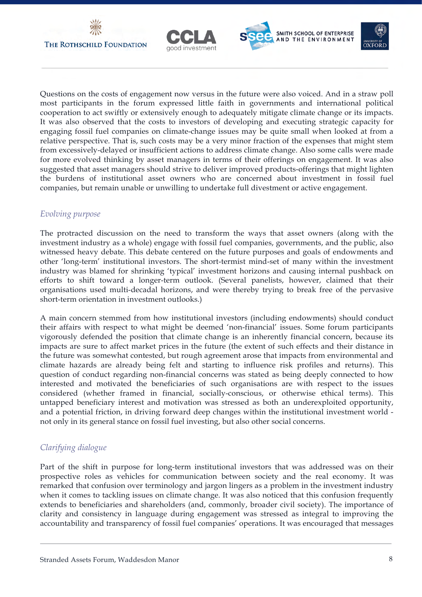







Questions on the costs of engagement now versus in the future were also voiced. And in a straw poll most participants in the forum expressed little faith in governments and international political cooperation to act swiftly or extensively enough to adequately mitigate climate change or its impacts. It was also observed that the costs to investors of developing and executing strategic capacity for engaging fossil fuel companies on climate-change issues may be quite small when looked at from a relative perspective. That is, such costs may be a very minor fraction of the expenses that might stem from excessively-delayed or insufficient actions to address climate change. Also some calls were made for more evolved thinking by asset managers in terms of their offerings on engagement. It was also suggested that asset managers should strive to deliver improved products-offerings that might lighten the burdens of institutional asset owners who are concerned about investment in fossil fuel companies, but remain unable or unwilling to undertake full divestment or active engagement.

#### *Evolving purpose*

The protracted discussion on the need to transform the ways that asset owners (along with the investment industry as a whole) engage with fossil fuel companies, governments, and the public, also witnessed heavy debate. This debate centered on the future purposes and goals of endowments and other 'long-term' institutional investors. The short-termist mind-set of many within the investment industry was blamed for shrinking 'typical' investment horizons and causing internal pushback on efforts to shift toward a longer-term outlook. (Several panelists, however, claimed that their organisations used multi-decadal horizons, and were thereby trying to break free of the pervasive short-term orientation in investment outlooks.)

A main concern stemmed from how institutional investors (including endowments) should conduct their affairs with respect to what might be deemed 'non-financial' issues. Some forum participants vigorously defended the position that climate change is an inherently financial concern, because its impacts are sure to affect market prices in the future (the extent of such effects and their distance in the future was somewhat contested, but rough agreement arose that impacts from environmental and climate hazards are already being felt and starting to influence risk profiles and returns). This question of conduct regarding non-financial concerns was stated as being deeply connected to how interested and motivated the beneficiaries of such organisations are with respect to the issues considered (whether framed in financial, socially-conscious, or otherwise ethical terms). This untapped beneficiary interest and motivation was stressed as both an underexploited opportunity, and a potential friction, in driving forward deep changes within the institutional investment world not only in its general stance on fossil fuel investing, but also other social concerns.

## *Clarifying dialogue*

Part of the shift in purpose for long-term institutional investors that was addressed was on their prospective roles as vehicles for communication between society and the real economy. It was remarked that confusion over terminology and jargon lingers as a problem in the investment industry when it comes to tackling issues on climate change. It was also noticed that this confusion frequently extends to beneficiaries and shareholders (and, commonly, broader civil society). The importance of clarity and consistency in language during engagement was stressed as integral to improving the accountability and transparency of fossil fuel companies' operations. It was encouraged that messages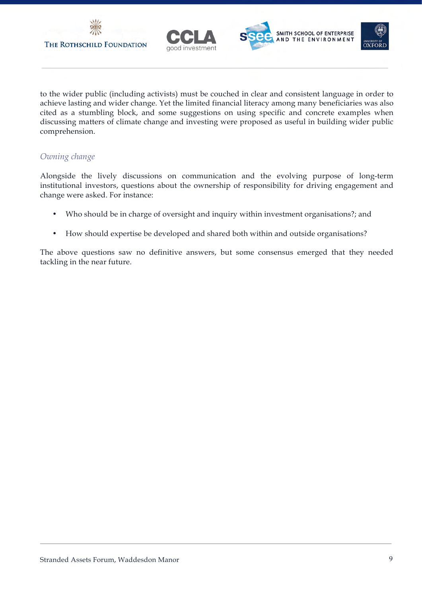





to the wider public (including activists) must be couched in clear and consistent language in order to achieve lasting and wider change. Yet the limited financial literacy among many beneficiaries was also cited as a stumbling block, and some suggestions on using specific and concrete examples when discussing matters of climate change and investing were proposed as useful in building wider public comprehension.

## *Owning change*

Alongside the lively discussions on communication and the evolving purpose of long-term institutional investors, questions about the ownership of responsibility for driving engagement and change were asked. For instance:

- Who should be in charge of oversight and inquiry within investment organisations?; and
- How should expertise be developed and shared both within and outside organisations?

The above questions saw no definitive answers, but some consensus emerged that they needed tackling in the near future.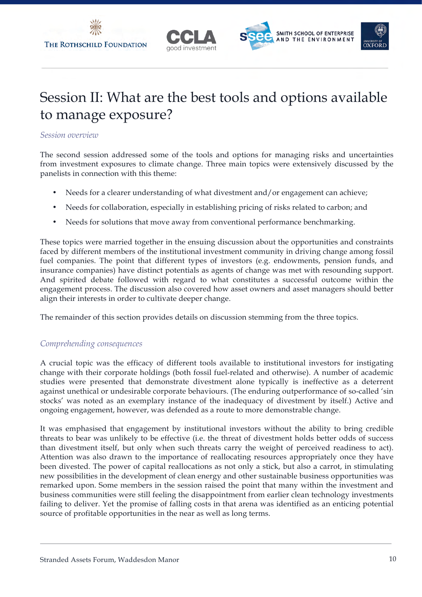

# Session II: What are the best tools and options available to manage exposure?

#### *Session overview*

The second session addressed some of the tools and options for managing risks and uncertainties from investment exposures to climate change. Three main topics were extensively discussed by the panelists in connection with this theme:

- Needs for a clearer understanding of what divestment and/or engagement can achieve;
- Needs for collaboration, especially in establishing pricing of risks related to carbon; and
- Needs for solutions that move away from conventional performance benchmarking.

These topics were married together in the ensuing discussion about the opportunities and constraints faced by different members of the institutional investment community in driving change among fossil fuel companies. The point that different types of investors (e.g. endowments, pension funds, and insurance companies) have distinct potentials as agents of change was met with resounding support. And spirited debate followed with regard to what constitutes a successful outcome within the engagement process. The discussion also covered how asset owners and asset managers should better align their interests in order to cultivate deeper change.

The remainder of this section provides details on discussion stemming from the three topics.

### *Comprehending consequences*

A crucial topic was the efficacy of different tools available to institutional investors for instigating change with their corporate holdings (both fossil fuel-related and otherwise). A number of academic studies were presented that demonstrate divestment alone typically is ineffective as a deterrent against unethical or undesirable corporate behaviours. (The enduring outperformance of so-called 'sin stocks' was noted as an exemplary instance of the inadequacy of divestment by itself.) Active and ongoing engagement, however, was defended as a route to more demonstrable change.

It was emphasised that engagement by institutional investors without the ability to bring credible threats to bear was unlikely to be effective (i.e. the threat of divestment holds better odds of success than divestment itself, but only when such threats carry the weight of perceived readiness to act). Attention was also drawn to the importance of reallocating resources appropriately once they have been divested. The power of capital reallocations as not only a stick, but also a carrot, in stimulating new possibilities in the development of clean energy and other sustainable business opportunities was remarked upon. Some members in the session raised the point that many within the investment and business communities were still feeling the disappointment from earlier clean technology investments failing to deliver. Yet the promise of falling costs in that arena was identified as an enticing potential source of profitable opportunities in the near as well as long terms.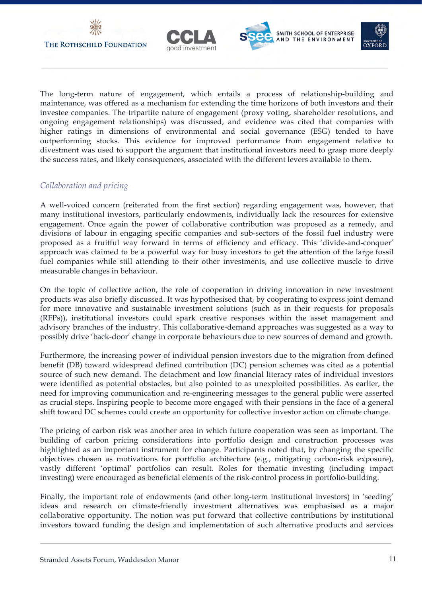







The long-term nature of engagement, which entails a process of relationship-building and maintenance, was offered as a mechanism for extending the time horizons of both investors and their investee companies. The tripartite nature of engagement (proxy voting, shareholder resolutions, and ongoing engagement relationships) was discussed, and evidence was cited that companies with higher ratings in dimensions of environmental and social governance (ESG) tended to have outperforming stocks. This evidence for improved performance from engagement relative to divestment was used to support the argument that institutional investors need to grasp more deeply the success rates, and likely consequences, associated with the different levers available to them.

## *Collaboration and pricing*

A well-voiced concern (reiterated from the first section) regarding engagement was, however, that many institutional investors, particularly endowments, individually lack the resources for extensive engagement. Once again the power of collaborative contribution was proposed as a remedy, and divisions of labour in engaging specific companies and sub-sectors of the fossil fuel industry were proposed as a fruitful way forward in terms of efficiency and efficacy. This 'divide-and-conquer' approach was claimed to be a powerful way for busy investors to get the attention of the large fossil fuel companies while still attending to their other investments, and use collective muscle to drive measurable changes in behaviour.

On the topic of collective action, the role of cooperation in driving innovation in new investment products was also briefly discussed. It was hypothesised that, by cooperating to express joint demand for more innovative and sustainable investment solutions (such as in their requests for proposals (RFPs)), institutional investors could spark creative responses within the asset management and advisory branches of the industry. This collaborative-demand approaches was suggested as a way to possibly drive 'back-door' change in corporate behaviours due to new sources of demand and growth.

Furthermore, the increasing power of individual pension investors due to the migration from defined benefit (DB) toward widespread defined contribution (DC) pension schemes was cited as a potential source of such new demand. The detachment and low financial literacy rates of individual investors were identified as potential obstacles, but also pointed to as unexploited possibilities. As earlier, the need for improving communication and re-engineering messages to the general public were asserted as crucial steps. Inspiring people to become more engaged with their pensions in the face of a general shift toward DC schemes could create an opportunity for collective investor action on climate change.

The pricing of carbon risk was another area in which future cooperation was seen as important. The building of carbon pricing considerations into portfolio design and construction processes was highlighted as an important instrument for change. Participants noted that, by changing the specific objectives chosen as motivations for portfolio architecture (e.g., mitigating carbon-risk exposure), vastly different 'optimal' portfolios can result. Roles for thematic investing (including impact investing) were encouraged as beneficial elements of the risk-control process in portfolio-building.

Finally, the important role of endowments (and other long-term institutional investors) in 'seeding' ideas and research on climate-friendly investment alternatives was emphasised as a major collaborative opportunity. The notion was put forward that collective contributions by institutional investors toward funding the design and implementation of such alternative products and services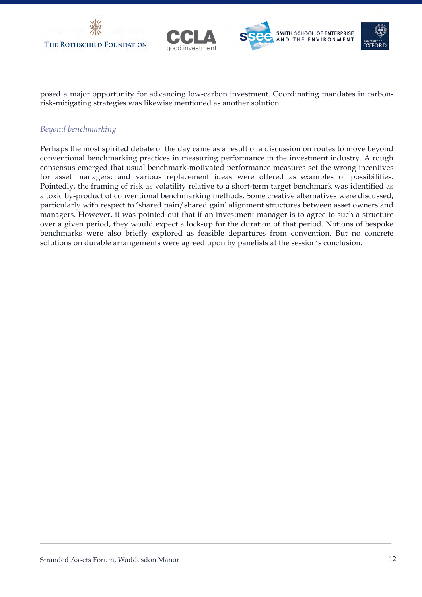







posed a major opportunity for advancing low-carbon investment. Coordinating mandates in carbonrisk-mitigating strategies was likewise mentioned as another solution.

## *Beyond benchmarking*

Perhaps the most spirited debate of the day came as a result of a discussion on routes to move beyond conventional benchmarking practices in measuring performance in the investment industry. A rough consensus emerged that usual benchmark-motivated performance measures set the wrong incentives for asset managers; and various replacement ideas were offered as examples of possibilities. Pointedly, the framing of risk as volatility relative to a short-term target benchmark was identified as a toxic by-product of conventional benchmarking methods. Some creative alternatives were discussed, particularly with respect to 'shared pain/shared gain' alignment structures between asset owners and managers. However, it was pointed out that if an investment manager is to agree to such a structure over a given period, they would expect a lock-up for the duration of that period. Notions of bespoke benchmarks were also briefly explored as feasible departures from convention. But no concrete solutions on durable arrangements were agreed upon by panelists at the session's conclusion.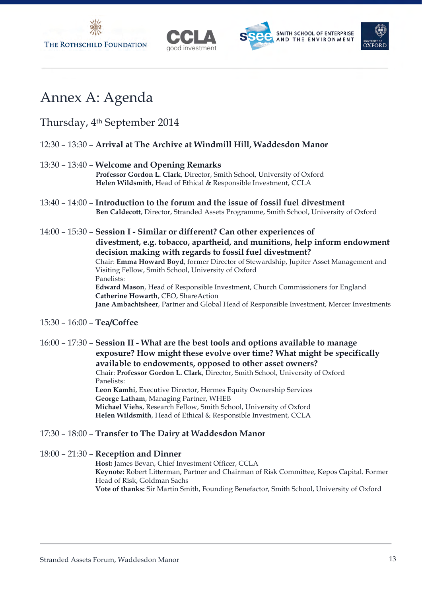





# Annex A: Agenda

# Thursday, 4th September 2014

## 12:30 – 13:30 – **Arrival at The Archive at Windmill Hill, Waddesdon Manor**

## 13:30 – 13:40 – **Welcome and Opening Remarks**

**Professor Gordon L. Clark**, Director, Smith School, University of Oxford **Helen Wildsmith**, Head of Ethical & Responsible Investment, CCLA

- 13:40 14:00 **Introduction to the forum and the issue of fossil fuel divestment Ben Caldecott**, Director, Stranded Assets Programme, Smith School, University of Oxford
- 14:00 15:30 **Session I - Similar or different? Can other experiences of divestment, e.g. tobacco, apartheid, and munitions, help inform endowment decision making with regards to fossil fuel divestment?** Chair: **Emma Howard Boyd**, former Director of Stewardship, Jupiter Asset Management and Visiting Fellow, Smith School, University of Oxford Panelists: **Edward Mason**, Head of Responsible Investment, Church Commissioners for England **Catherine Howarth**, CEO, ShareAction **Jane Ambachtsheer**, Partner and Global Head of Responsible Investment, Mercer Investments
- 15:30 16:00 **Tea/Coffee**

16:00 – 17:30 – **Session II - What are the best tools and options available to manage exposure? How might these evolve over time? What might be specifically available to endowments, opposed to other asset owners?** Chair: **Professor Gordon L. Clark**, Director, Smith School, University of Oxford Panelists: **Leon Kamhi**, Executive Director, Hermes Equity Ownership Services **George Latham**, Managing Partner, WHEB **Michael Viehs**, Research Fellow, Smith School, University of Oxford **Helen Wildsmith**, Head of Ethical & Responsible Investment, CCLA

### 17:30 – 18:00 – **Transfer to The Dairy at Waddesdon Manor**

18:00 – 21:30 – **Reception and Dinner** 

**Host:** James Bevan, Chief Investment Officer, CCLA **Keynote:** Robert Litterman, Partner and Chairman of Risk Committee, Kepos Capital. Former Head of Risk, Goldman Sachs **Vote of thanks:** Sir Martin Smith, Founding Benefactor, Smith School, University of Oxford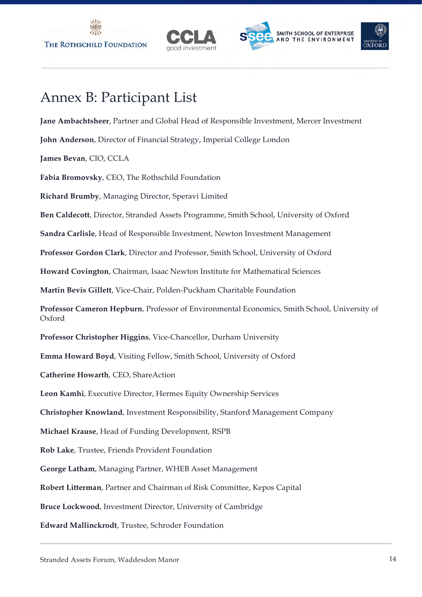



# Annex B: Participant List

**Jane Ambachtsheer**, Partner and Global Head of Responsible Investment, Mercer Investment

**John Anderson**, Director of Financial Strategy, Imperial College London

**James Bevan**, CIO, CCLA

**Fabia Bromovsky**, CEO, The Rothschild Foundation

**Richard Brumby**, Managing Director, Speravi Limited

**Ben Caldecott**, Director, Stranded Assets Programme, Smith School, University of Oxford

**Sandra Carlisle**, Head of Responsible Investment, Newton Investment Management

**Professor Gordon Clark**, Director and Professor, Smith School, University of Oxford

**Howard Covington**, Chairman, Isaac Newton Institute for Mathematical Sciences

**Martin Bevis Gillett**, Vice-Chair, Polden-Puckham Charitable Foundation

**Professor Cameron Hepburn**, Professor of Environmental Economics, Smith School, University of Oxford

**Professor Christopher Higgins**, Vice-Chancellor, Durham University

**Emma Howard Boyd**, Visiting Fellow, Smith School, University of Oxford

**Catherine Howarth**, CEO, ShareAction

**Leon Kamhi**, Executive Director, Hermes Equity Ownership Services

**Christopher Knowland**, Investment Responsibility, Stanford Management Company

**Michael Krause**, Head of Funding Development, RSPB

**Rob Lake**, Trustee, Friends Provident Foundation

**George Latham**, Managing Partner, WHEB Asset Management

**Robert Litterman**, Partner and Chairman of Risk Committee, Kepos Capital

**Bruce Lockwood**, Investment Director, University of Cambridge

**Edward Mallinckrodt**, Trustee, Schroder Foundation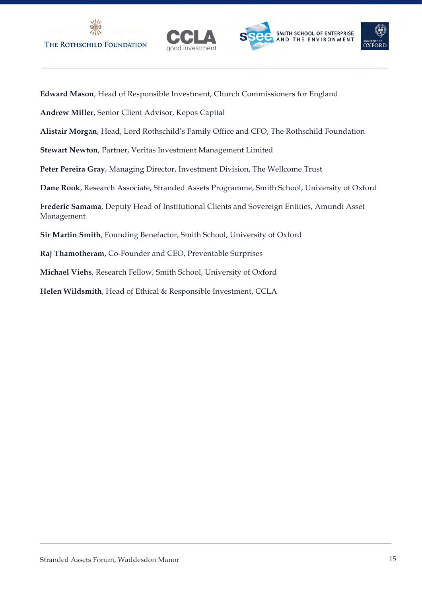





**Edward Mason**, Head of Responsible Investment, Church Commissioners for England

**Andrew Miller**, Senior Client Advisor, Kepos Capital

**Alistair Morgan**, Head, Lord Rothschild's Family Office and CFO, The Rothschild Foundation

**Stewart Newton**, Partner, Veritas Investment Management Limited

**Peter Pereira Gray**, Managing Director, Investment Division, The Wellcome Trust

**Dane Rook**, Research Associate, Stranded Assets Programme, Smith School, University of Oxford

**Frederic Samama**, Deputy Head of Institutional Clients and Sovereign Entities, Amundi Asset Management

**Sir Martin Smith**, Founding Benefactor, Smith School, University of Oxford

**Raj Thamotheram**, Co-Founder and CEO, Preventable Surprises

**Michael Viehs**, Research Fellow, Smith School, University of Oxford

**Helen Wildsmith**, Head of Ethical & Responsible Investment, CCLA